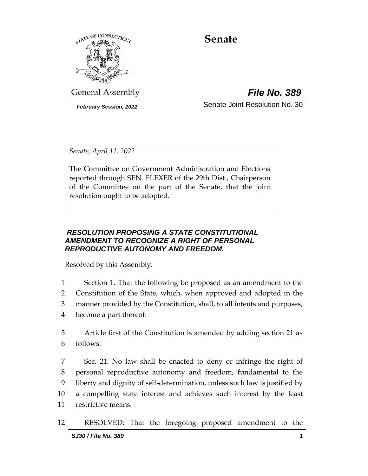

# **Senate**

General Assembly *File No. 389*

*February Session, 2022* Senate Joint Resolution No. 30

*Senate, April 11, 2022*

The Committee on Government Administration and Elections reported through SEN. FLEXER of the 29th Dist., Chairperson of the Committee on the part of the Senate, that the joint resolution ought to be adopted.

## *RESOLUTION PROPOSING A STATE CONSTITUTIONAL AMENDMENT TO RECOGNIZE A RIGHT OF PERSONAL REPRODUCTIVE AUTONOMY AND FREEDOM.*

Resolved by this Assembly:

- 1 Section 1. That the following be proposed as an amendment to the
- 2 Constitution of the State, which, when approved and adopted in the
- 3 manner provided by the Constitution, shall, to all intents and purposes,
- 4 become a part thereof:

5 Article first of the Constitution is amended by adding section 21 as 6 follows:

 Sec. 21. No law shall be enacted to deny or infringe the right of personal reproductive autonomy and freedom, fundamental to the liberty and dignity of self-determination, unless such law is justified by a compelling state interest and achieves such interest by the least restrictive means.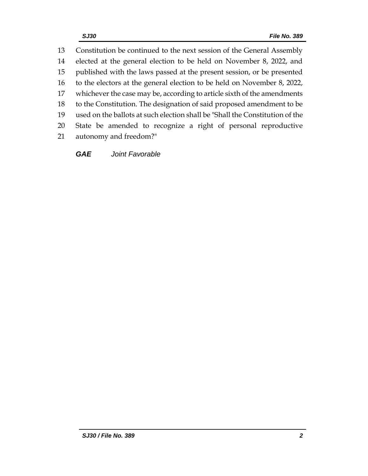Constitution be continued to the next session of the General Assembly elected at the general election to be held on November 8, 2022, and published with the laws passed at the present session, or be presented to the electors at the general election to be held on November 8, 2022, whichever the case may be, according to article sixth of the amendments to the Constitution. The designation of said proposed amendment to be used on the ballots at such election shall be "Shall the Constitution of the State be amended to recognize a right of personal reproductive autonomy and freedom?"

*GAE Joint Favorable*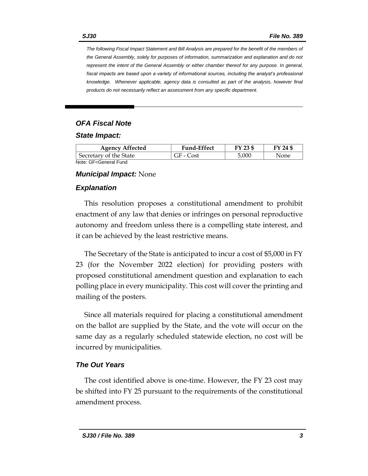*The following Fiscal Impact Statement and Bill Analysis are prepared for the benefit of the members of the General Assembly, solely for purposes of information, summarization and explanation and do not represent the intent of the General Assembly or either chamber thereof for any purpose. In general,*  fiscal impacts are based upon a variety of informational sources, including the analyst's professional *knowledge. Whenever applicable, agency data is consulted as part of the analysis, however final products do not necessarily reflect an assessment from any specific department.*

# *OFA Fiscal Note*

*State Impact:*

| <b>Agency Affected</b> | <b>Fund-Effect</b> | FY 23 \$ | FY 24 \$ |
|------------------------|--------------------|----------|----------|
| Secretary of the State | GF - Cost          | 5.000    | None     |
| Note: CE-Ceneral Fund  |                    |          |          |

Note: GF=General Fund

### *Municipal Impact:* None

## *Explanation*

This resolution proposes a constitutional amendment to prohibit enactment of any law that denies or infringes on personal reproductive autonomy and freedom unless there is a compelling state interest, and it can be achieved by the least restrictive means.

The Secretary of the State is anticipated to incur a cost of \$5,000 in FY 23 (for the November 2022 election) for providing posters with proposed constitutional amendment question and explanation to each polling place in every municipality. This cost will cover the printing and mailing of the posters.

Since all materials required for placing a constitutional amendment on the ballot are supplied by the State, and the vote will occur on the same day as a regularly scheduled statewide election, no cost will be incurred by municipalities.

# *The Out Years*

The cost identified above is one-time. However, the FY 23 cost may be shifted into FY 25 pursuant to the requirements of the constitutional amendment process.